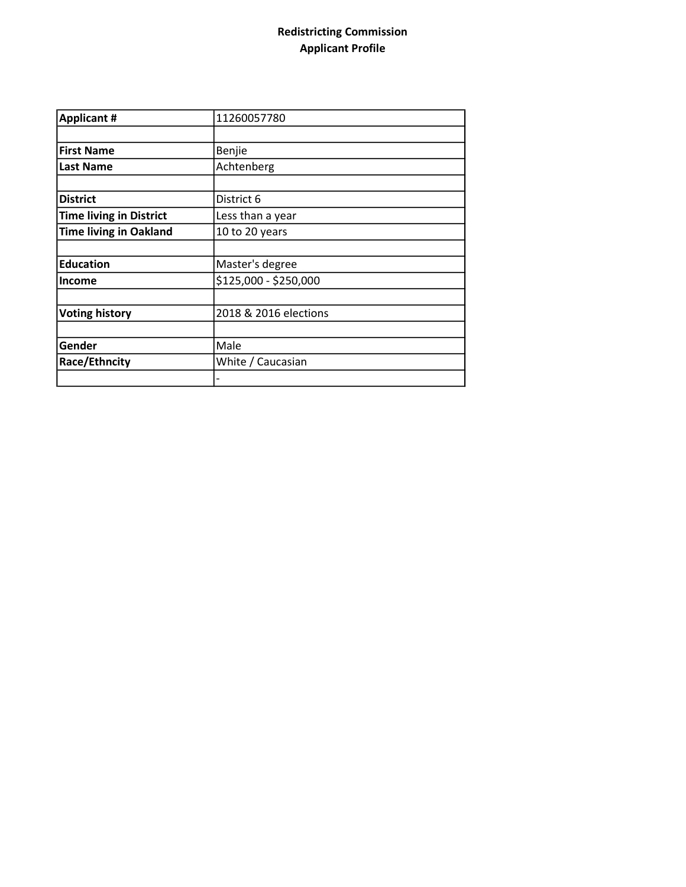## Redistricting Commission Applicant Profile

| <b>Applicant #</b>             | 11260057780           |
|--------------------------------|-----------------------|
|                                |                       |
| <b>First Name</b>              | Benjie                |
| <b>Last Name</b>               | Achtenberg            |
|                                |                       |
| <b>District</b>                | District 6            |
| <b>Time living in District</b> | Less than a year      |
| <b>Time living in Oakland</b>  | 10 to 20 years        |
|                                |                       |
| <b>Education</b>               | Master's degree       |
| <b>Income</b>                  | \$125,000 - \$250,000 |
|                                |                       |
| <b>Voting history</b>          | 2018 & 2016 elections |
|                                |                       |
| Gender                         | Male                  |
| Race/Ethncity                  | White / Caucasian     |
|                                |                       |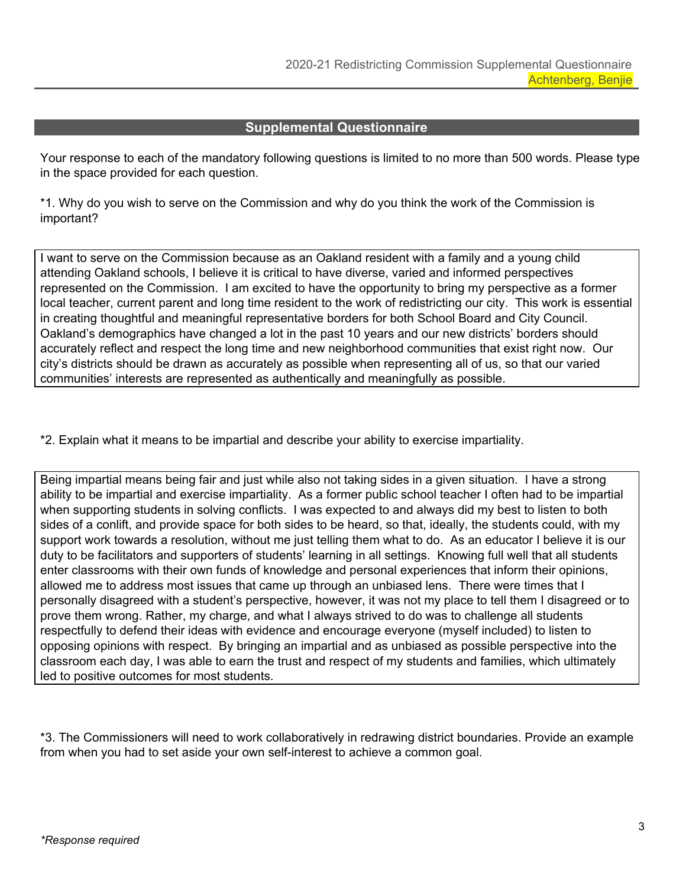## **Supplemental Questionnaire**

Your response to each of the mandatory following questions is limited to no more than 500 words. Please type in the space provided for each question.

\*1. Why do you wish to serve on the Commission and why do you think the work of the Commission is important?

I want to serve on the Commission because as an Oakland resident with a family and a young child attending Oakland schools, I believe it is critical to have diverse, varied and informed perspectives represented on the Commission. I am excited to have the opportunity to bring my perspective as a former local teacher, current parent and long time resident to the work of redistricting our city. This work is essential in creating thoughtful and meaningful representative borders for both School Board and City Council. Oakland's demographics have changed a lot in the past 10 years and our new districts' borders should accurately reflect and respect the long time and new neighborhood communities that exist right now. Our city's districts should be drawn as accurately as possible when representing all of us, so that our varied communities' interests are represented as authentically and meaningfully as possible.

\*2. Explain what it means to be impartial and describe your ability to exercise impartiality.

Being impartial means being fair and just while also not taking sides in a given situation. I have a strong ability to be impartial and exercise impartiality. As a former public school teacher I often had to be impartial when supporting students in solving conflicts. I was expected to and always did my best to listen to both sides of a conlift, and provide space for both sides to be heard, so that, ideally, the students could, with my support work towards a resolution, without me just telling them what to do. As an educator I believe it is our duty to be facilitators and supporters of students' learning in all settings. Knowing full well that all students enter classrooms with their own funds of knowledge and personal experiences that inform their opinions, allowed me to address most issues that came up through an unbiased lens. There were times that I personally disagreed with a student's perspective, however, it was not my place to tell them I disagreed or to prove them wrong. Rather, my charge, and what I always strived to do was to challenge all students respectfully to defend their ideas with evidence and encourage everyone (myself included) to listen to opposing opinions with respect. By bringing an impartial and as unbiased as possible perspective into the classroom each day, I was able to earn the trust and respect of my students and families, which ultimately led to positive outcomes for most students.

\*3. The Commissioners will need to work collaboratively in redrawing district boundaries. Provide an example from when you had to set aside your own self-interest to achieve a common goal.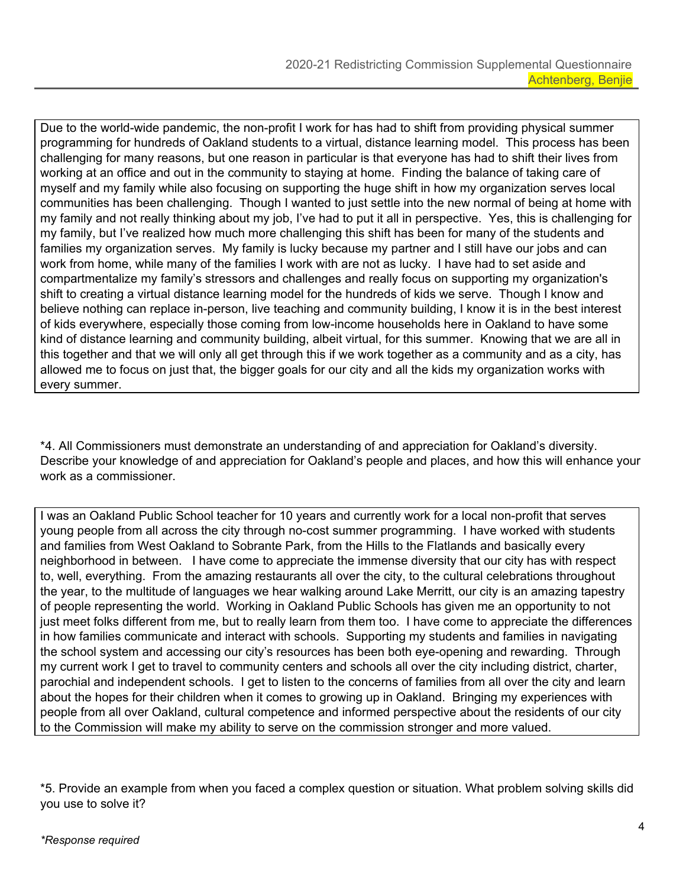Due to the world-wide pandemic, the non-profit I work for has had to shift from providing physical summer programming for hundreds of Oakland students to a virtual, distance learning model. This process has been challenging for many reasons, but one reason in particular is that everyone has had to shift their lives from working at an office and out in the community to staying at home. Finding the balance of taking care of myself and my family while also focusing on supporting the huge shift in how my organization serves local communities has been challenging. Though I wanted to just settle into the new normal of being at home with my family and not really thinking about my job, I've had to put it all in perspective. Yes, this is challenging for my family, but I've realized how much more challenging this shift has been for many of the students and families my organization serves. My family is lucky because my partner and I still have our jobs and can work from home, while many of the families I work with are not as lucky. I have had to set aside and compartmentalize my family's stressors and challenges and really focus on supporting my organization's shift to creating a virtual distance learning model for the hundreds of kids we serve. Though I know and believe nothing can replace in-person, live teaching and community building, I know it is in the best interest of kids everywhere, especially those coming from low-income households here in Oakland to have some kind of distance learning and community building, albeit virtual, for this summer. Knowing that we are all in this together and that we will only all get through this if we work together as a community and as a city, has allowed me to focus on just that, the bigger goals for our city and all the kids my organization works with every summer.

\*4. All Commissioners must demonstrate an understanding of and appreciation for Oakland's diversity. Describe your knowledge of and appreciation for Oakland's people and places, and how this will enhance your work as a commissioner.

I was an Oakland Public School teacher for 10 years and currently work for a local non-profit that serves young people from all across the city through no-cost summer programming. I have worked with students and families from West Oakland to Sobrante Park, from the Hills to the Flatlands and basically every neighborhood in between. I have come to appreciate the immense diversity that our city has with respect to, well, everything. From the amazing restaurants all over the city, to the cultural celebrations throughout the year, to the multitude of languages we hear walking around Lake Merritt, our city is an amazing tapestry of people representing the world. Working in Oakland Public Schools has given me an opportunity to not just meet folks different from me, but to really learn from them too. I have come to appreciate the differences in how families communicate and interact with schools. Supporting my students and families in navigating the school system and accessing our city's resources has been both eye-opening and rewarding. Through my current work I get to travel to community centers and schools all over the city including district, charter, parochial and independent schools. I get to listen to the concerns of families from all over the city and learn about the hopes for their children when it comes to growing up in Oakland. Bringing my experiences with people from all over Oakland, cultural competence and informed perspective about the residents of our city to the Commission will make my ability to serve on the commission stronger and more valued.

\*5. Provide an example from when you faced a complex question or situation. What problem solving skills did you use to solve it?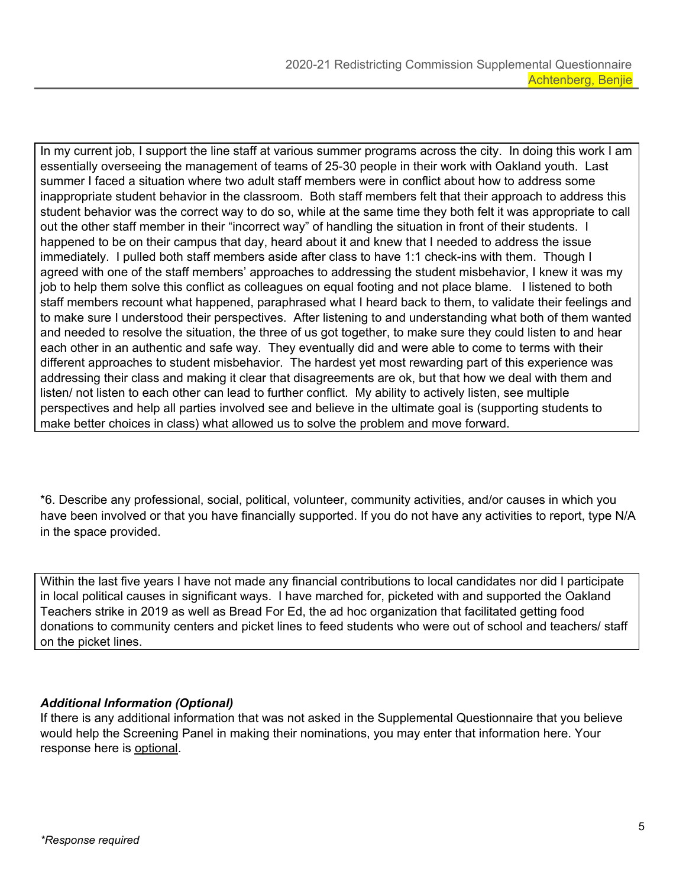In my current job, I support the line staff at various summer programs across the city. In doing this work I am essentially overseeing the management of teams of 25-30 people in their work with Oakland youth. Last summer I faced a situation where two adult staff members were in conflict about how to address some inappropriate student behavior in the classroom. Both staff members felt that their approach to address this student behavior was the correct way to do so, while at the same time they both felt it was appropriate to call out the other staff member in their "incorrect way" of handling the situation in front of their students. I happened to be on their campus that day, heard about it and knew that I needed to address the issue immediately. I pulled both staff members aside after class to have 1:1 check-ins with them. Though I agreed with one of the staff members' approaches to addressing the student misbehavior, I knew it was my job to help them solve this conflict as colleagues on equal footing and not place blame. I listened to both staff members recount what happened, paraphrased what I heard back to them, to validate their feelings and to make sure I understood their perspectives. After listening to and understanding what both of them wanted and needed to resolve the situation, the three of us got together, to make sure they could listen to and hear each other in an authentic and safe way. They eventually did and were able to come to terms with their different approaches to student misbehavior. The hardest yet most rewarding part of this experience was addressing their class and making it clear that disagreements are ok, but that how we deal with them and listen/ not listen to each other can lead to further conflict. My ability to actively listen, see multiple perspectives and help all parties involved see and believe in the ultimate goal is (supporting students to make better choices in class) what allowed us to solve the problem and move forward.

\*6. Describe any professional, social, political, volunteer, community activities, and/or causes in which you have been involved or that you have financially supported. If you do not have any activities to report, type N/A in the space provided.

Within the last five years I have not made any financial contributions to local candidates nor did I participate in local political causes in significant ways. I have marched for, picketed with and supported the Oakland Teachers strike in 2019 as well as Bread For Ed, the ad hoc organization that facilitated getting food donations to community centers and picket lines to feed students who were out of school and teachers/ staff on the picket lines.

## *Additional Information (Optional)*

If there is any additional information that was not asked in the Supplemental Questionnaire that you believe would help the Screening Panel in making their nominations, you may enter that information here. Your response here is optional.